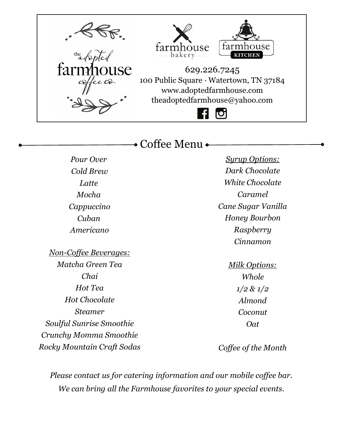

• Coffee Menu •

*Pour Over Cold Brew Latte Mocha Cappuccino Cuban Americano*

*Non-Coffee Beverages: Matcha Green Tea Chai Hot Tea Hot Chocolate Steamer Soulful Sunrise Smoothie Crunchy Momma Smoothie Rocky Mountain Craft Sodas*

*Syrup Options: Dark Chocolate White Chocolate Caramel Cane Sugar Vanilla Honey Bourbon Raspberry Cinnamon*

> *Milk Options: Whole 1/2 & 1/2 Almond Coconut Oat*

*Coffee of the Month*

*Please contact us for catering information and our mobile coffee bar. We can bring all the Farmhouse favorites to your special events.*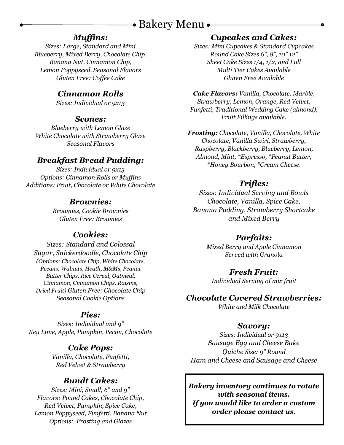# • Bakery Menu •

#### *Muffins:*

*Sizes: Large, Standard and Mini Blueberry, Mixed Berry, Chocolate Chip, Banana Nut, Cinnamon Chip, Lemon Poppyseed, Seasonal Flavors Gluten Free: Coffee Cake*

#### *Cinnamon Rolls*

*Sizes: Individual or 9x13*

#### *Scones:*

*Blueberry with Lemon Glaze White Chocolate with Strawberry Glaze Seasonal Flavors*

### *Breakfast Bread Pudding:*

*Sizes: Individual or 9x13 Options: Cinnamon Rolls or Muffins Additions: Fruit, Chocolate or White Chocolate*

#### *Brownies:*

*Brownies, Cookie Brownies Gluten Free: Brownies*

### *Cookies:*

*Sizes: Standard and Colossal Sugar, Snickerdoodle, Chocolate Chip (Options: Chocolate Chip, White Chocolate, Pecans, Walnuts, Heath, M&Ms, Peanut Butter Chips, Rice Cereal, Oatmeal, Cinnamon, Cinnamon Chips, Raisins, Dried Fruit) Gluten Free: Chocolate Chip Seasonal Cookie Options*

#### *Pies:*

*Sizes: Individual and 9" Key Lime, Apple, Pumpkin, Pecan, Chocolate*

#### *Cake Pops:*

*Vanilla, Chocolate, Funfetti, Red Velvet & Strawberry*

#### *Bundt Cakes:*

*Sizes: Mini, Small, 6" and 9" Flavors: Pound Cakes, Chocolate Chip, Red Velvet, Pumpkin, Spice Cake, Lemon Poppyseed, Funfetti, Banana Nut Options: Frosting and Glazes*

#### *Cupcakes and Cakes:*

*Sizes: Mini Cupcakes & Standard Cupcakes Round Cake Sizes 6", 8", 10" 12" Sheet Cake Sizes 1/4, 1/2, and Full Multi Tier Cakes Available Gluten Free Available*

*Cake Flavors: Vanilla, Chocolate, Marble, Strawberry, Lemon, Orange, Red Velvet, Funfetti, Traditional Wedding Cake (almond), Fruit Fillings available.*

*Frosting: Chocolate, Vanilla, Chocolate, White Chocolate, Vanilla Swirl, Strawberry, Raspberry, Blackberry, Blueberry, Lemon, Almond, Mint, \*Espresso, \*Peanut Butter, \*Honey Bourbon, \*Cream Cheese.* 

### *Trifles:*

*Sizes: Individual Serving and Bowls Chocolate, Vanilla, Spice Cake, Banana Pudding, Strawberry Shortcake and Mixed Berry*

### *Parfaits:*

*Mixed Berry and Apple Cinnamon Served with Granola*

#### *Fresh Fruit:*

*Individual Serving of mix fruit*

#### *Chocolate Covered Strawberries:*

*White and Milk Chocolate*

#### *Savory:*

*Sizes: Individual or 9x13 Sausage Egg and Cheese Bake Quiche Size: 9" Round Ham and Cheese and Sausage and Cheese*

*Bakery inventory continues to rotate with seasonal items. If you would like to order a custom order please contact us.*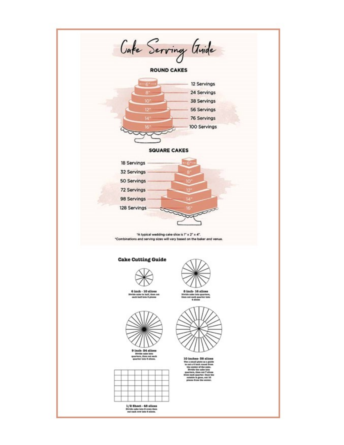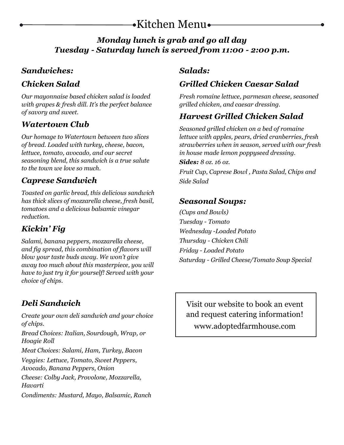# Kitchen Menu

## *Monday lunch is grab and go all day Tuesday - Saturday lunch is served from 11:00 - 2:00 p.m.*

## *Sandwiches:*

# *Chicken Salad*

*Our mayonnaise based chicken salad is loaded with grapes & fresh dill. It's the perfect balance of savory and sweet.* 

# *Watertown Club*

*Our homage to Watertown between two slices of bread. Loaded with turkey, cheese, bacon, lettuce, tomato, avocado, and our secret seasoning blend, this sandwich is a true salute to the town we love so much.* 

# *Caprese Sandwich*

*Toasted on garlic bread, this delicious sandwich has thick slices of mozzarella cheese, fresh basil, tomatoes and a delicious balsamic vinegar reduction.* 

# *Kickin' Fig*

*Salami, banana peppers, mozzarella cheese, and fig spread, this combination of flavors will blow your taste buds away. We won't give away too much about this masterpiece, you will have to just try it for yourself! Served with your choice of chips.* 

# *Deli Sandwich*

*Create your own deli sandwich and your choice of chips.* 

*Bread Choices: Italian, Sourdough, Wrap, or Hoagie Roll* 

*Meat Choices: Salami, Ham, Turkey, Bacon* 

*Veggies: Lettuce, Tomato, Sweet Peppers, Avocado, Banana Peppers, Onion* 

*Cheese: Colby Jack, Provolone, Mozzarella, Havarti* 

*Condiments: Mustard, Mayo, Balsamic, Ranch* 

## *Salads:*

# *Grilled Chicken Caesar Salad*

*Fresh romaine lettuce, parmesan cheese, seasoned grilled chicken, and caesar dressing.* 

# *Harvest Grilled Chicken Salad*

*Seasoned grilled chicken on a bed of romaine lettuce with apples, pears, dried cranberries, fresh strawberries when in season, served with our fresh in house made lemon poppyseed dressing.* 

#### *Sides: 8 oz. 16 oz.*

*Fruit Cup, Caprese Bowl , Pasta Salad, Chips and Side Salad* 

### *Seasonal Soups:*

*(Cups and Bowls) Tuesday - Tomato Wednesday -Loaded Potato Thursday - Chicken Chili Friday - Loaded Potato Saturday - Grilled Cheese/Tomato Soup Special* 

Visit our website to book an event and request catering information! www.adoptedfarmhouse.com